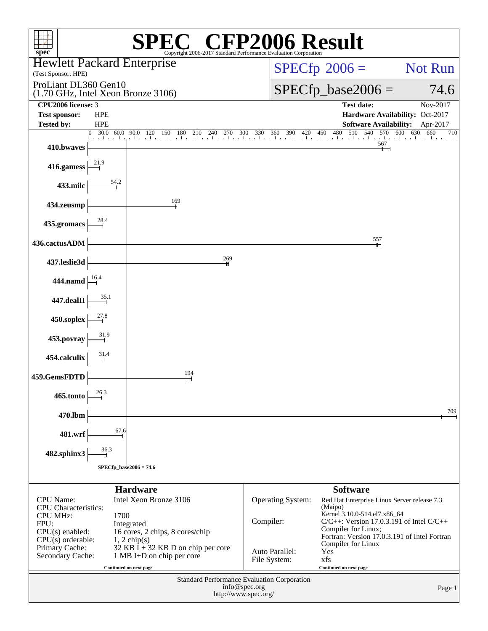| spec <sup>®</sup>                                                    |                                             | Copyright 2006-2017 Standard Performance Evaluation Corporation                            |                                       | <b>CFP2006 Result</b>                                                |                                 |  |  |
|----------------------------------------------------------------------|---------------------------------------------|--------------------------------------------------------------------------------------------|---------------------------------------|----------------------------------------------------------------------|---------------------------------|--|--|
| <b>Hewlett Packard Enterprise</b><br>(Test Sponsor: HPE)             |                                             |                                                                                            | $SPECfp^{\circledast}2006 =$          | Not Run                                                              |                                 |  |  |
| ProLiant DL360 Gen10                                                 |                                             |                                                                                            |                                       | $SPECfp\_base2006 =$                                                 | 74.6                            |  |  |
| (1.70 GHz, Intel Xeon Bronze 3106)<br>CPU <sub>2006</sub> license: 3 |                                             |                                                                                            |                                       | <b>Test date:</b>                                                    | Nov-2017                        |  |  |
| <b>Test sponsor:</b>                                                 | <b>HPE</b>                                  |                                                                                            |                                       |                                                                      | Hardware Availability: Oct-2017 |  |  |
| <b>Tested by:</b>                                                    | <b>HPE</b>                                  |                                                                                            |                                       | <b>Software Availability:</b>                                        | Apr-2017                        |  |  |
| 410.bwaves                                                           | $\overline{0}$ 30.0 60.0                    | $0$ 30.0 60.0 90.0 120 150 180 210 240 270 300 330 360 390 420 450 480 510 540 570 600 630 |                                       | 480 510 540 570 600 630<br>567                                       | 660<br>710                      |  |  |
| 416.gamess                                                           |                                             |                                                                                            |                                       |                                                                      |                                 |  |  |
| 433.milc                                                             | 54.2                                        |                                                                                            |                                       |                                                                      |                                 |  |  |
| 434.zeusmp                                                           |                                             | 169                                                                                        |                                       |                                                                      |                                 |  |  |
| 435.gromacs                                                          | 28.4                                        |                                                                                            |                                       |                                                                      |                                 |  |  |
| 436.cactusADM                                                        |                                             |                                                                                            |                                       | 557                                                                  |                                 |  |  |
| 437.leslie3d                                                         |                                             | 269                                                                                        |                                       |                                                                      |                                 |  |  |
| <b>444.namd</b>                                                      |                                             |                                                                                            |                                       |                                                                      |                                 |  |  |
| 447.dealII                                                           | 35.1                                        |                                                                                            |                                       |                                                                      |                                 |  |  |
| 450.soplex                                                           |                                             |                                                                                            |                                       |                                                                      |                                 |  |  |
| 453.povray                                                           |                                             |                                                                                            |                                       |                                                                      |                                 |  |  |
| 454.calculix                                                         |                                             | 194                                                                                        |                                       |                                                                      |                                 |  |  |
| 459.GemsFDTD                                                         | 26.3                                        | ĦН                                                                                         |                                       |                                                                      |                                 |  |  |
| 465.tonto                                                            |                                             |                                                                                            |                                       |                                                                      | 709                             |  |  |
| 470.lbm<br>481.wrf                                                   | 67.6                                        |                                                                                            |                                       |                                                                      |                                 |  |  |
| 482.sphinx3                                                          | 36.3                                        |                                                                                            |                                       |                                                                      |                                 |  |  |
|                                                                      | $SPECfp\_base2006 = 74.6$                   |                                                                                            |                                       |                                                                      |                                 |  |  |
|                                                                      |                                             | <b>Hardware</b>                                                                            |                                       | <b>Software</b>                                                      |                                 |  |  |
| <b>CPU</b> Name:                                                     |                                             | Intel Xeon Bronze 3106                                                                     | Operating System:                     | Red Hat Enterprise Linux Server release 7.3                          |                                 |  |  |
| <b>CPU</b> Characteristics:<br><b>CPU MHz:</b>                       | 1700                                        |                                                                                            |                                       | (Maipo)<br>Kernel 3.10.0-514.el7.x86_64                              |                                 |  |  |
| FPU:<br>$CPU(s)$ enabled:                                            |                                             | Integrated<br>16 cores, 2 chips, 8 cores/chip                                              | Compiler:                             | $C/C++$ : Version 17.0.3.191 of Intel $C/C++$<br>Compiler for Linux; |                                 |  |  |
| $CPU(s)$ orderable:                                                  |                                             | $1, 2$ chip(s)                                                                             |                                       | Fortran: Version 17.0.3.191 of Intel Fortran<br>Compiler for Linux   |                                 |  |  |
| Primary Cache:<br>Secondary Cache:                                   |                                             | $32$ KB I + 32 KB D on chip per core<br>1 MB I+D on chip per core                          | Auto Parallel:                        | Yes                                                                  |                                 |  |  |
|                                                                      |                                             | Continued on next page                                                                     | File System:                          | xfs<br>Continued on next page                                        |                                 |  |  |
|                                                                      | Standard Performance Evaluation Corporation |                                                                                            |                                       |                                                                      |                                 |  |  |
|                                                                      |                                             |                                                                                            | info@spec.org<br>http://www.spec.org/ |                                                                      | Page 1                          |  |  |
|                                                                      |                                             |                                                                                            |                                       |                                                                      |                                 |  |  |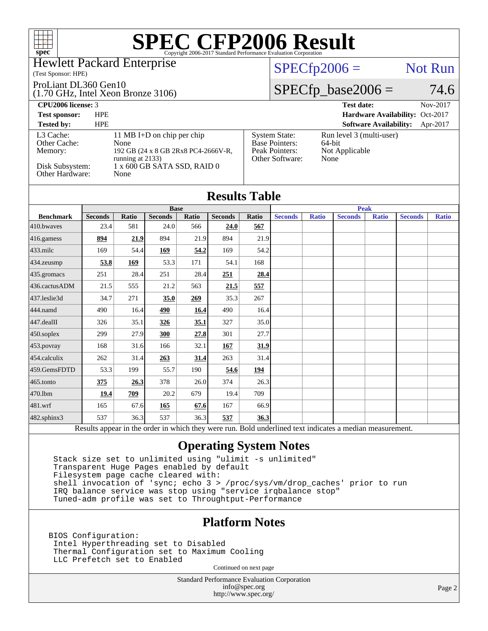### Hewlett Packard Enterprise

(Test Sponsor: HPE)

### ProLiant DL360 Gen10

(1.70 GHz, Intel Xeon Bronze 3106)

## $SPECTp2006 =$  Not Run

[System State:](http://www.spec.org/auto/cpu2006/Docs/result-fields.html#SystemState) Run level 3 (multi-user)<br>Base Pointers: 64-bit

[Peak Pointers:](http://www.spec.org/auto/cpu2006/Docs/result-fields.html#PeakPointers) Not Applicable

[Other Software:](http://www.spec.org/auto/cpu2006/Docs/result-fields.html#OtherSoftware) None

[Base Pointers:](http://www.spec.org/auto/cpu2006/Docs/result-fields.html#BasePointers)

## $SPECfp\_base2006 = 74.6$

**[CPU2006 license:](http://www.spec.org/auto/cpu2006/Docs/result-fields.html#CPU2006license)** 3 **[Test date:](http://www.spec.org/auto/cpu2006/Docs/result-fields.html#Testdate)** Nov-2017

**[Test sponsor:](http://www.spec.org/auto/cpu2006/Docs/result-fields.html#Testsponsor)** HPE **[Hardware Availability:](http://www.spec.org/auto/cpu2006/Docs/result-fields.html#HardwareAvailability)** Oct-2017

### **[Tested by:](http://www.spec.org/auto/cpu2006/Docs/result-fields.html#Testedby)** HPE **[Software Availability:](http://www.spec.org/auto/cpu2006/Docs/result-fields.html#SoftwareAvailability)** Apr-2017 [L3 Cache:](http://www.spec.org/auto/cpu2006/Docs/result-fields.html#L3Cache) 11 MB I+D on chip per chip<br>Other Cache: None [Other Cache:](http://www.spec.org/auto/cpu2006/Docs/result-fields.html#OtherCache) [Memory:](http://www.spec.org/auto/cpu2006/Docs/result-fields.html#Memory) 192 GB (24 x 8 GB 2Rx8 PC4-2666V-R, running at 2133) [Disk Subsystem:](http://www.spec.org/auto/cpu2006/Docs/result-fields.html#DiskSubsystem) 1 x 600 GB SATA SSD, RAID 0<br>Other Hardware: None [Other Hardware:](http://www.spec.org/auto/cpu2006/Docs/result-fields.html#OtherHardware)

|                |       |                |       |                  | <b>Peak</b> |                                   |                                      |                 |              |                |              |
|----------------|-------|----------------|-------|------------------|-------------|-----------------------------------|--------------------------------------|-----------------|--------------|----------------|--------------|
| <b>Seconds</b> | Ratio | <b>Seconds</b> | Ratio | <b>Seconds</b>   | Ratio       | <b>Seconds</b>                    | <b>Ratio</b>                         | <b>Seconds</b>  | <b>Ratio</b> | <b>Seconds</b> | <b>Ratio</b> |
| 23.4           | 581   | 24.0           | 566   | 24.0             | 567         |                                   |                                      |                 |              |                |              |
| 894            | 21.9  | 894            | 21.9  | 894              | 21.9        |                                   |                                      |                 |              |                |              |
| 169            | 54.4  | 169            | 54.2  | 169              | 54.2        |                                   |                                      |                 |              |                |              |
| 53.8           | 169   | 53.3           | 171   | 54.1             | 168         |                                   |                                      |                 |              |                |              |
| 251            | 28.4  | 251            | 28.4  | 251              |             |                                   |                                      |                 |              |                |              |
| 21.5           | 555   | 21.2           | 563   | 21.5             | 557         |                                   |                                      |                 |              |                |              |
| 34.7           | 271   | 35.0           | 269   | 35.3             | 267         |                                   |                                      |                 |              |                |              |
| 490            | 16.4  | 490            | 16.4  | 490              |             |                                   |                                      |                 |              |                |              |
| 326            | 35.1  | 326            | 35.1  | 327              |             |                                   |                                      |                 |              |                |              |
| 299            | 27.9  | 300            | 27.8  | 301              | 27.7        |                                   |                                      |                 |              |                |              |
| 168            | 31.6  | 166            | 32.1  | 167              | 31.9        |                                   |                                      |                 |              |                |              |
| 262            | 31.4  | 263            | 31.4  | 263              | 31.4        |                                   |                                      |                 |              |                |              |
| 53.3           | 199   | 55.7           | 190   | 54.6             | <u>194</u>  |                                   |                                      |                 |              |                |              |
| 375            | 26.3  | 378            | 26.0  | 374              |             |                                   |                                      |                 |              |                |              |
| 19.4           | 709   | 20.2           | 679   | 19.4             | 709         |                                   |                                      |                 |              |                |              |
| 165            | 67.6  | <u>165</u>     | 67.6  | 167              |             |                                   |                                      |                 |              |                |              |
| 537            |       | 537            |       | 537              |             |                                   |                                      |                 |              |                |              |
|                |       |                | 36.3  | <b>Base</b><br>. | 36.3        | 28.4<br>16.4<br>26.3<br>66.9<br>. | <b>Results Table</b><br>35.0<br>36.3 | $\cdot$ $\cdot$ | $\cdot$ .    |                |              |

Results appear in the [order in which they were run.](http://www.spec.org/auto/cpu2006/Docs/result-fields.html#RunOrder) Bold underlined text [indicates a median measurement.](http://www.spec.org/auto/cpu2006/Docs/result-fields.html#Median)

## **[Operating System Notes](http://www.spec.org/auto/cpu2006/Docs/result-fields.html#OperatingSystemNotes)**

 Stack size set to unlimited using "ulimit -s unlimited" Transparent Huge Pages enabled by default Filesystem page cache cleared with: shell invocation of 'sync; echo 3 > /proc/sys/vm/drop\_caches' prior to run IRQ balance service was stop using "service irqbalance stop" Tuned-adm profile was set to Throughtput-Performance

## **[Platform Notes](http://www.spec.org/auto/cpu2006/Docs/result-fields.html#PlatformNotes)**

BIOS Configuration: Intel Hyperthreading set to Disabled Thermal Configuration set to Maximum Cooling LLC Prefetch set to Enabled

Continued on next page

Standard Performance Evaluation Corporation [info@spec.org](mailto:info@spec.org) <http://www.spec.org/>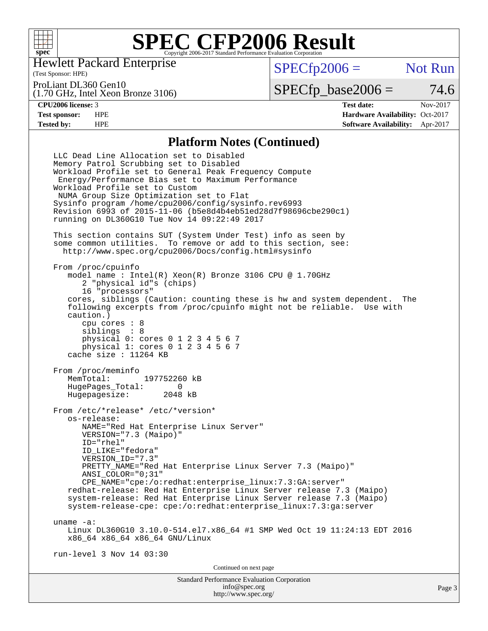

Hewlett Packard Enterprise

(Test Sponsor: HPE)

 $SPECfp2006 =$  Not Run

ProLiant DL360 Gen10

(1.70 GHz, Intel Xeon Bronze 3106)

 $SPECTp\_base2006 = 74.6$ 

**[CPU2006 license:](http://www.spec.org/auto/cpu2006/Docs/result-fields.html#CPU2006license)** 3 **[Test date:](http://www.spec.org/auto/cpu2006/Docs/result-fields.html#Testdate)** Nov-2017 **[Test sponsor:](http://www.spec.org/auto/cpu2006/Docs/result-fields.html#Testsponsor)** HPE **[Hardware Availability:](http://www.spec.org/auto/cpu2006/Docs/result-fields.html#HardwareAvailability)** Oct-2017 **[Tested by:](http://www.spec.org/auto/cpu2006/Docs/result-fields.html#Testedby)** HPE **[Software Availability:](http://www.spec.org/auto/cpu2006/Docs/result-fields.html#SoftwareAvailability)** Apr-2017

### **[Platform Notes \(Continued\)](http://www.spec.org/auto/cpu2006/Docs/result-fields.html#PlatformNotes)**

Standard Performance Evaluation Corporation LLC Dead Line Allocation set to Disabled Memory Patrol Scrubbing set to Disabled Workload Profile set to General Peak Frequency Compute Energy/Performance Bias set to Maximum Performance Workload Profile set to Custom NUMA Group Size Optimization set to Flat Sysinfo program /home/cpu2006/config/sysinfo.rev6993 Revision 6993 of 2015-11-06 (b5e8d4b4eb51ed28d7f98696cbe290c1) running on DL360G10 Tue Nov 14 09:22:49 2017 This section contains SUT (System Under Test) info as seen by some common utilities. To remove or add to this section, see: <http://www.spec.org/cpu2006/Docs/config.html#sysinfo> From /proc/cpuinfo model name : Intel(R) Xeon(R) Bronze 3106 CPU @ 1.70GHz 2 "physical id"s (chips) 16 "processors" cores, siblings (Caution: counting these is hw and system dependent. The following excerpts from /proc/cpuinfo might not be reliable. Use with caution.) cpu cores : 8 siblings : 8 physical 0: cores 0 1 2 3 4 5 6 7 physical 1: cores 0 1 2 3 4 5 6 7 cache size : 11264 KB From /proc/meminfo<br>MemTotal: 197752260 kB HugePages\_Total: 0 Hugepagesize: 2048 kB From /etc/\*release\* /etc/\*version\* os-release: NAME="Red Hat Enterprise Linux Server" VERSION="7.3 (Maipo)" ID="rhel" ID\_LIKE="fedora" VERSION\_ID="7.3" PRETTY NAME="Red Hat Enterprise Linux Server 7.3 (Maipo)" ANSI\_COLOR="0;31" CPE\_NAME="cpe:/o:redhat:enterprise\_linux:7.3:GA:server" redhat-release: Red Hat Enterprise Linux Server release 7.3 (Maipo) system-release: Red Hat Enterprise Linux Server release 7.3 (Maipo) system-release-cpe: cpe:/o:redhat:enterprise\_linux:7.3:ga:server uname -a: Linux DL360G10 3.10.0-514.el7.x86\_64 #1 SMP Wed Oct 19 11:24:13 EDT 2016 x86\_64 x86\_64 x86\_64 GNU/Linux run-level 3 Nov 14 03:30 Continued on next page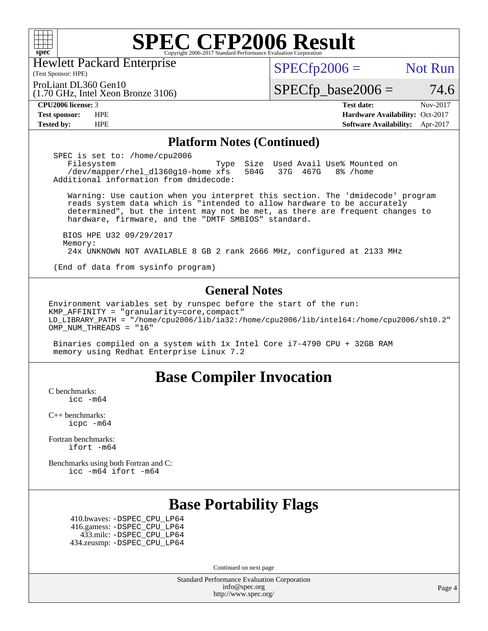

Hewlett Packard Enterprise

(Test Sponsor: HPE)

 $SPECTp2006 =$  Not Run

 $SPECfp\_base2006 = 74.6$ 

(1.70 GHz, Intel Xeon Bronze 3106) ProLiant DL360 Gen10

**[CPU2006 license:](http://www.spec.org/auto/cpu2006/Docs/result-fields.html#CPU2006license)** 3 **[Test date:](http://www.spec.org/auto/cpu2006/Docs/result-fields.html#Testdate)** Nov-2017 **[Test sponsor:](http://www.spec.org/auto/cpu2006/Docs/result-fields.html#Testsponsor)** HPE **[Hardware Availability:](http://www.spec.org/auto/cpu2006/Docs/result-fields.html#HardwareAvailability)** Oct-2017 **[Tested by:](http://www.spec.org/auto/cpu2006/Docs/result-fields.html#Testedby)** HPE **[Software Availability:](http://www.spec.org/auto/cpu2006/Docs/result-fields.html#SoftwareAvailability)** Apr-2017

### **[Platform Notes \(Continued\)](http://www.spec.org/auto/cpu2006/Docs/result-fields.html#PlatformNotes)**

 SPEC is set to: /home/cpu2006 Filesystem Type Size Used Avail Use% Mounted on /dev/mapper/rhel\_dl360g10-home xfs 504G 37G 467G 8% /home Additional information from dmidecode:

 Warning: Use caution when you interpret this section. The 'dmidecode' program reads system data which is "intended to allow hardware to be accurately determined", but the intent may not be met, as there are frequent changes to hardware, firmware, and the "DMTF SMBIOS" standard.

 BIOS HPE U32 09/29/2017 Memory: 24x UNKNOWN NOT AVAILABLE 8 GB 2 rank 2666 MHz, configured at 2133 MHz

(End of data from sysinfo program)

### **[General Notes](http://www.spec.org/auto/cpu2006/Docs/result-fields.html#GeneralNotes)**

Environment variables set by runspec before the start of the run: KMP AFFINITY = "granularity=core, compact" LD\_LIBRARY\_PATH = "/home/cpu2006/lib/ia32:/home/cpu2006/lib/intel64:/home/cpu2006/sh10.2" OMP NUM THREADS = "16"

 Binaries compiled on a system with 1x Intel Core i7-4790 CPU + 32GB RAM memory using Redhat Enterprise Linux 7.2

## **[Base Compiler Invocation](http://www.spec.org/auto/cpu2006/Docs/result-fields.html#BaseCompilerInvocation)**

[C benchmarks](http://www.spec.org/auto/cpu2006/Docs/result-fields.html#Cbenchmarks): [icc -m64](http://www.spec.org/cpu2006/results/res2017q4/cpu2006-20171127-50770.flags.html#user_CCbase_intel_icc_64bit_bda6cc9af1fdbb0edc3795bac97ada53)

[C++ benchmarks:](http://www.spec.org/auto/cpu2006/Docs/result-fields.html#CXXbenchmarks) [icpc -m64](http://www.spec.org/cpu2006/results/res2017q4/cpu2006-20171127-50770.flags.html#user_CXXbase_intel_icpc_64bit_fc66a5337ce925472a5c54ad6a0de310)

[Fortran benchmarks](http://www.spec.org/auto/cpu2006/Docs/result-fields.html#Fortranbenchmarks): [ifort -m64](http://www.spec.org/cpu2006/results/res2017q4/cpu2006-20171127-50770.flags.html#user_FCbase_intel_ifort_64bit_ee9d0fb25645d0210d97eb0527dcc06e)

[Benchmarks using both Fortran and C](http://www.spec.org/auto/cpu2006/Docs/result-fields.html#BenchmarksusingbothFortranandC): [icc -m64](http://www.spec.org/cpu2006/results/res2017q4/cpu2006-20171127-50770.flags.html#user_CC_FCbase_intel_icc_64bit_bda6cc9af1fdbb0edc3795bac97ada53) [ifort -m64](http://www.spec.org/cpu2006/results/res2017q4/cpu2006-20171127-50770.flags.html#user_CC_FCbase_intel_ifort_64bit_ee9d0fb25645d0210d97eb0527dcc06e)

## **[Base Portability Flags](http://www.spec.org/auto/cpu2006/Docs/result-fields.html#BasePortabilityFlags)**

 410.bwaves: [-DSPEC\\_CPU\\_LP64](http://www.spec.org/cpu2006/results/res2017q4/cpu2006-20171127-50770.flags.html#suite_basePORTABILITY410_bwaves_DSPEC_CPU_LP64) 416.gamess: [-DSPEC\\_CPU\\_LP64](http://www.spec.org/cpu2006/results/res2017q4/cpu2006-20171127-50770.flags.html#suite_basePORTABILITY416_gamess_DSPEC_CPU_LP64) 433.milc: [-DSPEC\\_CPU\\_LP64](http://www.spec.org/cpu2006/results/res2017q4/cpu2006-20171127-50770.flags.html#suite_basePORTABILITY433_milc_DSPEC_CPU_LP64) 434.zeusmp: [-DSPEC\\_CPU\\_LP64](http://www.spec.org/cpu2006/results/res2017q4/cpu2006-20171127-50770.flags.html#suite_basePORTABILITY434_zeusmp_DSPEC_CPU_LP64)

Continued on next page

Standard Performance Evaluation Corporation [info@spec.org](mailto:info@spec.org) <http://www.spec.org/>